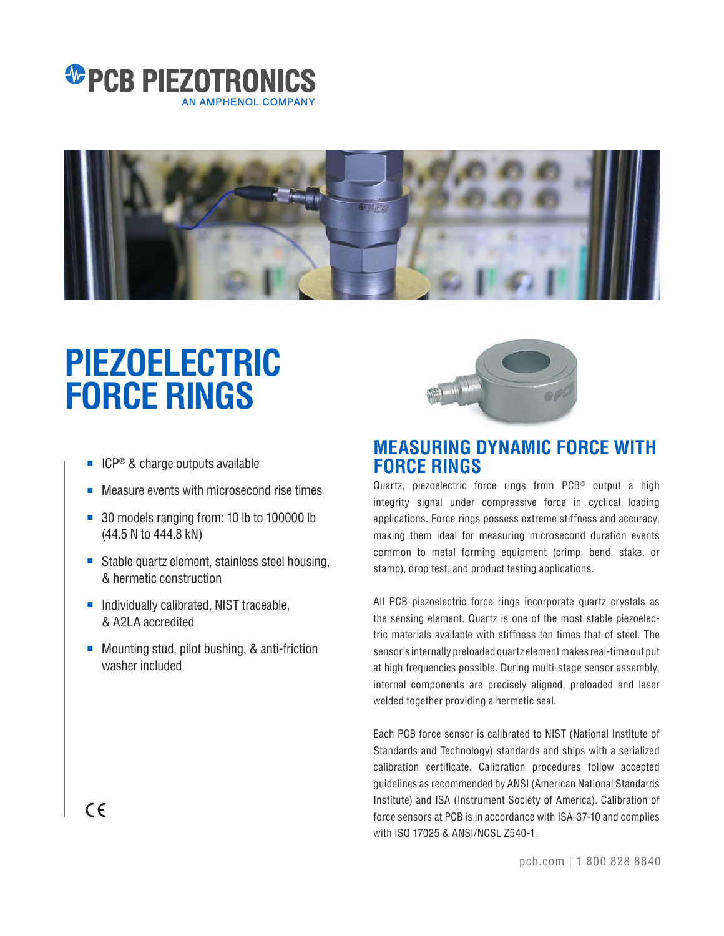



# **PIEZOELECTRIC FORCE RINGS**

- ICP<sup>®</sup> & charge outputs available
- Measure events with microsecond rise times
- 30 models ranging from: 10 lb to 100000 lb (44.5 N to 444.8 kN)
- Stable quartz element, stainless steel housing, & hermetic construction
- Individually calibrated, NIST traceable, & A2LA accredited
- Mounting stud, pilot bushing, & anti-friction washer included



### **MEASURING DYNAMIC FORCE WITH FORCE RINGS**

Quartz, piezoelectric force rings from PCB<sup>®</sup> output a high integrity signal under compressive force in cyclical loading applications. Force rings possess extreme stiffness and accuracy, making them ideal for measuring microsecond duration events common to metal forming equipment (crimp, bend, stake, or stamp), drop test, and product testing applications.

All PCB piezoelectric force rings incorporate quartz crystals as the sensing element. Quartz is one of the most stable piezoelectric materials available with stiffness ten times that of steel. The sensor's internally preloaded quartz element makes real-time out put at high frequencies possible. During multi-stage sensor assembly, internal components are precisely aligned, preloaded and laser welded together providing a hermetic seal.

Each PCB force sensor is calibrated to NIST (National Institute of Standards and Technology) standards and ships with a serialized calibration certificate. Calibration procedures follow accepted guidelines as recommended by ANSI (American National Standards Institute) and ISA (Instrument Society of America). Calibration of force sensors at PCB is in accordance with ISA-37-10 and complies with ISO 17025 & ANSI/NCSL Z540-1.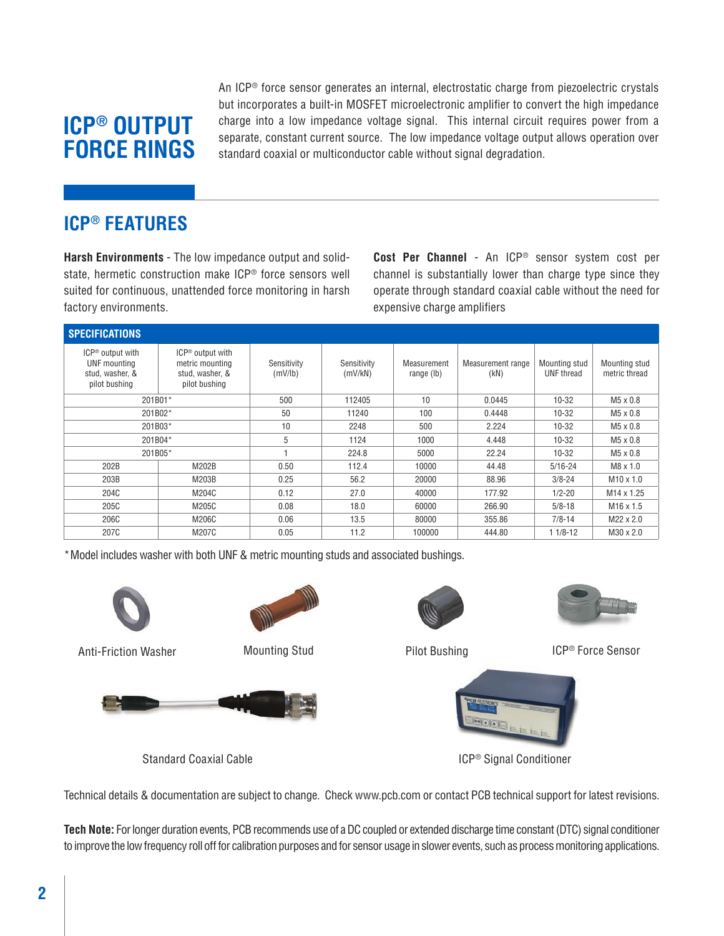# **ICP® OUTPUT FORCE RINGS**

An ICP® force sensor generates an internal, electrostatic charge from piezoelectric crystals but incorporates a built-in MOSFET microelectronic amplifier to convert the high impedance charge into a low impedance voltage signal. This internal circuit requires power from a separate, constant current source. The low impedance voltage output allows operation over standard coaxial or multiconductor cable without signal degradation.

### **ICP® FEATURES**

**Harsh Environments** - The low impedance output and solidstate, hermetic construction make ICP® force sensors well suited for continuous, unattended force monitoring in harsh factory environments.

**Cost Per Channel** - An ICP® sensor system cost per channel is substantially lower than charge type since they operate through standard coaxial cable without the need for expensive charge amplifiers

| <b>SPECIFICATIONS</b>                                                            |                                                                                     |                        |                        |                           |                           |                             |                                |  |  |
|----------------------------------------------------------------------------------|-------------------------------------------------------------------------------------|------------------------|------------------------|---------------------------|---------------------------|-----------------------------|--------------------------------|--|--|
| ICP <sup>®</sup> output with<br>UNF mounting<br>stud, washer, &<br>pilot bushing | ICP <sup>®</sup> output with<br>metric mounting<br>stud, washer, &<br>pilot bushing | Sensitivity<br>(mV/lb) | Sensitivity<br>(mV/kN) | Measurement<br>range (lb) | Measurement range<br>(KN) | Mounting stud<br>UNF thread | Mounting stud<br>metric thread |  |  |
| 201B01*                                                                          |                                                                                     | 500                    | 112405                 | 10                        | 0.0445                    | $10 - 32$                   | $M5 \times 0.8$                |  |  |
| 201B02*                                                                          |                                                                                     | 50                     | 11240                  | 100                       | 0.4448                    | $10 - 32$                   | $M5 \times 0.8$                |  |  |
| 201B03*                                                                          |                                                                                     | 10                     | 2248                   | 500                       | 2.224                     | $10 - 32$                   | $M5 \times 0.8$                |  |  |
| 201B04*                                                                          |                                                                                     | 5                      | 1124                   | 1000                      | 4.448                     | $10 - 32$                   | $M5 \times 0.8$                |  |  |
| 201B05*                                                                          |                                                                                     |                        | 224.8                  | 5000                      | 22.24                     | $10 - 32$                   | $M5 \times 0.8$                |  |  |
| 202B                                                                             | M202B                                                                               | 0.50                   | 112.4                  | 10000                     | 44.48                     | $5/16 - 24$                 | $M8 \times 1.0$                |  |  |
| 203B                                                                             | M203B                                                                               | 0.25                   | 56.2                   | 20000                     | 88.96                     | $3/8 - 24$                  | $M10 \times 1.0$               |  |  |
| 204C                                                                             | M204C                                                                               | 0.12                   | 27.0                   | 40000                     | 177.92                    | $1/2 - 20$                  | M <sub>14</sub> x 1.25         |  |  |
| 205C                                                                             | M205C                                                                               | 0.08                   | 18.0                   | 60000                     | 266.90                    | $5/8 - 18$                  | $M16 \times 1.5$               |  |  |
| 206C                                                                             | M206C                                                                               | 0.06                   | 13.5                   | 80000                     | 355.86                    | $7/8 - 14$                  | $M22 \times 2.0$               |  |  |
| 207C                                                                             | M207C                                                                               | 0.05                   | 11.2                   | 100000                    | 444.80                    | $11/8-12$                   | $M30 \times 2.0$               |  |  |

\* Model includes washer with both UNF & metric mounting studs and associated bushings.





Standard Coaxial Cable



Pilot Bushing



Anti-Friction Washer **ICP®** Force Sensor Mounting Stud Force Sensor **Force Sensor** 



ICP® Signal Conditioner

Technical details & documentation are subject to change. Check www.pcb.com or contact PCB technical support for latest revisions.

**Tech Note:** For longer duration events, PCB recommends use of a DC coupled or extended discharge time constant (DTC) signal conditioner to improve the low frequency roll off for calibration purposes and for sensor usage in slower events, such as process monitoring applications.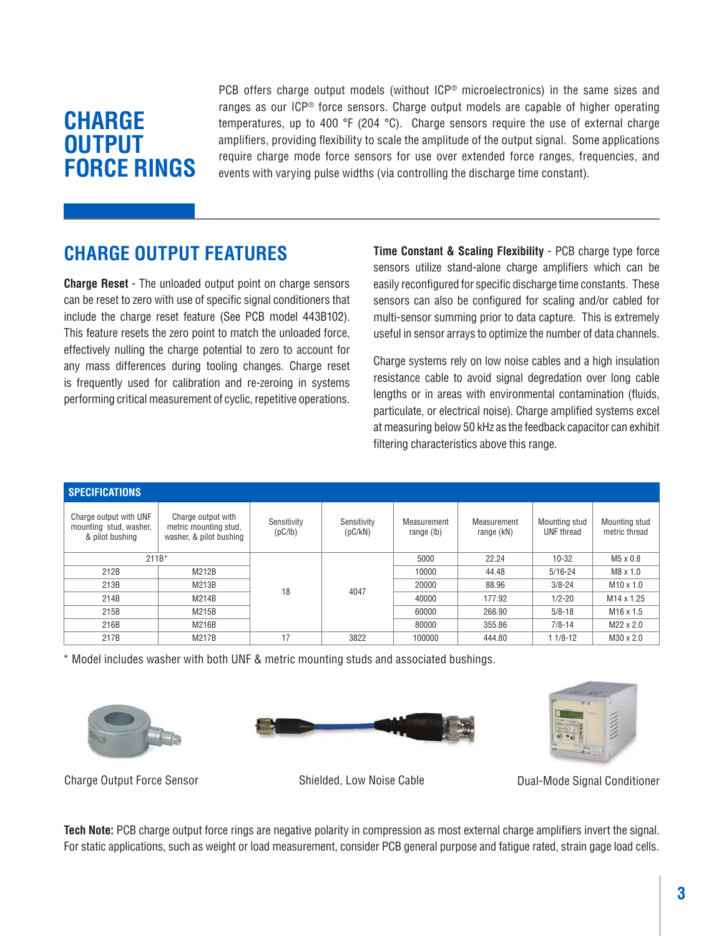# **CHARGE OUTPUT FORCE RINGS**

PCB offers charge output models (without ICP® microelectronics) in the same sizes and ranges as our ICP® force sensors. Charge output models are capable of higher operating temperatures, up to 400 °F (204 °C). Charge sensors require the use of external charge amplifiers, providing flexibility to scale the amplitude of the output signal. Some applications require charge mode force sensors for use over extended force ranges, frequencies, and events with varying pulse widths (via controlling the discharge time constant).

## **CHARGE OUTPUT FEATURES**

**Charge Reset** - The unloaded output point on charge sensors can be reset to zero with use of specific signal conditioners that include the charge reset feature (See PCB model 443B102). This feature resets the zero point to match the unloaded force, effectively nulling the charge potential to zero to account for any mass differences during tooling changes. Charge reset is frequently used for calibration and re-zeroing in systems performing critical measurement of cyclic, repetitive operations.

**Time Constant & Scaling Flexibility** - PCB charge type force sensors utilize stand-alone charge amplifiers which can be easily reconfigured for specific discharge time constants. These sensors can also be configured for scaling and/or cabled for multi-sensor summing prior to data capture. This is extremely useful in sensor arrays to optimize the number of data channels.

Charge systems rely on low noise cables and a high insulation resistance cable to avoid signal degredation over long cable lengths or in areas with environmental contamination (fluids, particulate, or electrical noise). Charge amplified systems excel at measuring below 50 kHz as the feedback capacitor can exhibit filtering characteristics above this range.

| <b>SPECIFICATIONS</b>                                               |                                                                        |                        |                        |                           |                           |                             |                                |  |  |
|---------------------------------------------------------------------|------------------------------------------------------------------------|------------------------|------------------------|---------------------------|---------------------------|-----------------------------|--------------------------------|--|--|
| Charge output with UNF<br>mounting stud, washer,<br>& pilot bushing | Charge output with<br>metric mounting stud,<br>washer, & pilot bushing | Sensitivity<br>(pC/1b) | Sensitivity<br>(pC/kN) | Measurement<br>range (lb) | Measurement<br>range (kN) | Mounting stud<br>UNF thread | Mounting stud<br>metric thread |  |  |
| $211B*$                                                             |                                                                        |                        |                        | 5000                      | 22.24                     | $10 - 32$                   | $M5 \times 0.8$                |  |  |
| 212B                                                                | M212B                                                                  |                        | 4047                   | 10000                     | 44.48                     | $5/16 - 24$                 | $M8 \times 1.0$                |  |  |
| 213B                                                                | M213B                                                                  | 18                     |                        | 20000                     | 88.96                     | $3/8 - 24$                  | $M10 \times 1.0$               |  |  |
| 214B                                                                | M214B                                                                  |                        |                        | 40000                     | 177.92                    | $1/2 - 20$                  | M <sub>14</sub> x 1.25         |  |  |
| 215B                                                                | M215B                                                                  |                        |                        | 60000                     | 266.90                    | $5/8 - 18$                  | $M16 \times 1.5$               |  |  |
| 216B                                                                | M216B                                                                  |                        |                        | 80000                     | 355.86                    | $7/8 - 14$                  | $M22 \times 2.0$               |  |  |
| 217B                                                                | M217B                                                                  | 17                     | 3822                   | 100000                    | 444.80                    | $11/8 - 12$                 | $M30 \times 2.0$               |  |  |

\* Model includes washer with both UNF & metric mounting studs and associated bushings.







Charge Output Force Sensor Shielded, Low Noise Cable **Cable Conditioner** Conditioner

**Tech Note:** PCB charge output force rings are negative polarity in compression as most external charge amplifiers invert the signal. For static applications, such as weight or load measurement, consider PCB general purpose and fatigue rated, strain gage load cells.